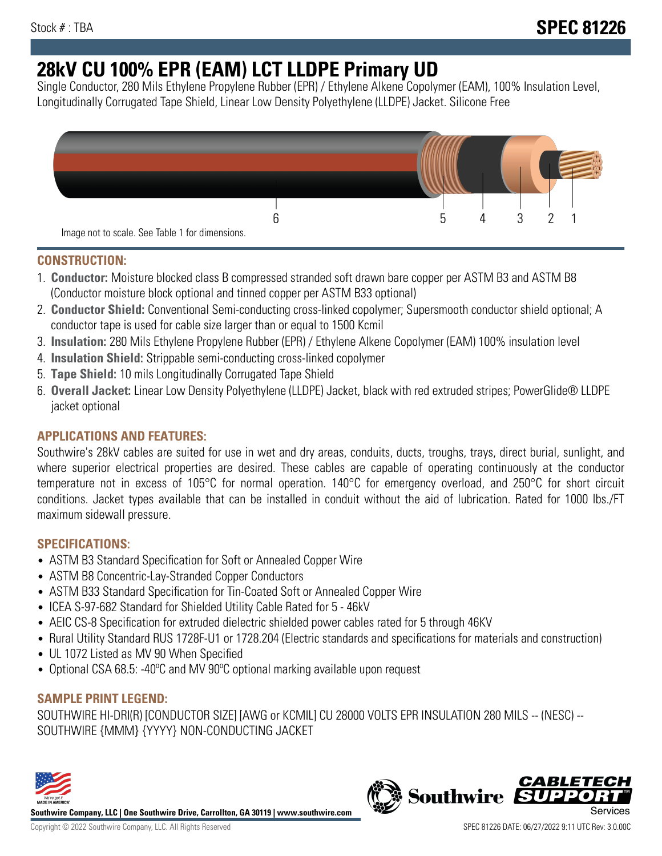# **28kV CU 100% EPR (EAM) LCT LLDPE Primary UD**

Single Conductor, 280 Mils Ethylene Propylene Rubber (EPR) / Ethylene Alkene Copolymer (EAM), 100% Insulation Level, Longitudinally Corrugated Tape Shield, Linear Low Density Polyethylene (LLDPE) Jacket. Silicone Free



#### **CONSTRUCTION:**

- 1. **Conductor:** Moisture blocked class B compressed stranded soft drawn bare copper per ASTM B3 and ASTM B8 (Conductor moisture block optional and tinned copper per ASTM B33 optional)
- 2. **Conductor Shield:** Conventional Semi-conducting cross-linked copolymer; Supersmooth conductor shield optional; A conductor tape is used for cable size larger than or equal to 1500 Kcmil
- 3. **Insulation:** 280 Mils Ethylene Propylene Rubber (EPR) / Ethylene Alkene Copolymer (EAM) 100% insulation level
- 4. **Insulation Shield:** Strippable semi-conducting cross-linked copolymer
- 5. **Tape Shield:** 10 mils Longitudinally Corrugated Tape Shield
- 6. **Overall Jacket:** Linear Low Density Polyethylene (LLDPE) Jacket, black with red extruded stripes; PowerGlide® LLDPE jacket optional

## **APPLICATIONS AND FEATURES:**

Southwire's 28kV cables are suited for use in wet and dry areas, conduits, ducts, troughs, trays, direct burial, sunlight, and where superior electrical properties are desired. These cables are capable of operating continuously at the conductor temperature not in excess of 105°C for normal operation. 140°C for emergency overload, and 250°C for short circuit conditions. Jacket types available that can be installed in conduit without the aid of lubrication. Rated for 1000 lbs./FT maximum sidewall pressure.

#### **SPECIFICATIONS:**

- ASTM B3 Standard Specification for Soft or Annealed Copper Wire
- ASTM B8 Concentric-Lay-Stranded Copper Conductors
- ASTM B33 Standard Specification for Tin-Coated Soft or Annealed Copper Wire
- ICEA S-97-682 Standard for Shielded Utility Cable Rated for 5 46kV
- AEIC CS-8 Specification for extruded dielectric shielded power cables rated for 5 through 46KV
- Rural Utility Standard RUS 1728F-U1 or 1728.204 (Electric standards and specifications for materials and construction)
- UL 1072 Listed as MV 90 When Specified
- Optional CSA 68.5: -40ºC and MV 90ºC optional marking available upon request

#### **SAMPLE PRINT LEGEND:**

SOUTHWIRE HI-DRI(R) [CONDUCTOR SIZE] [AWG or KCMIL] CU 28000 VOLTS EPR INSULATION 280 MILS -- (NESC) -- SOUTHWIRE {MMM} {YYYY} NON-CONDUCTING JACKET



**Southwire Company, LLC | One Southwire Drive, Carrollton, GA 30119 | www.southwire.com**